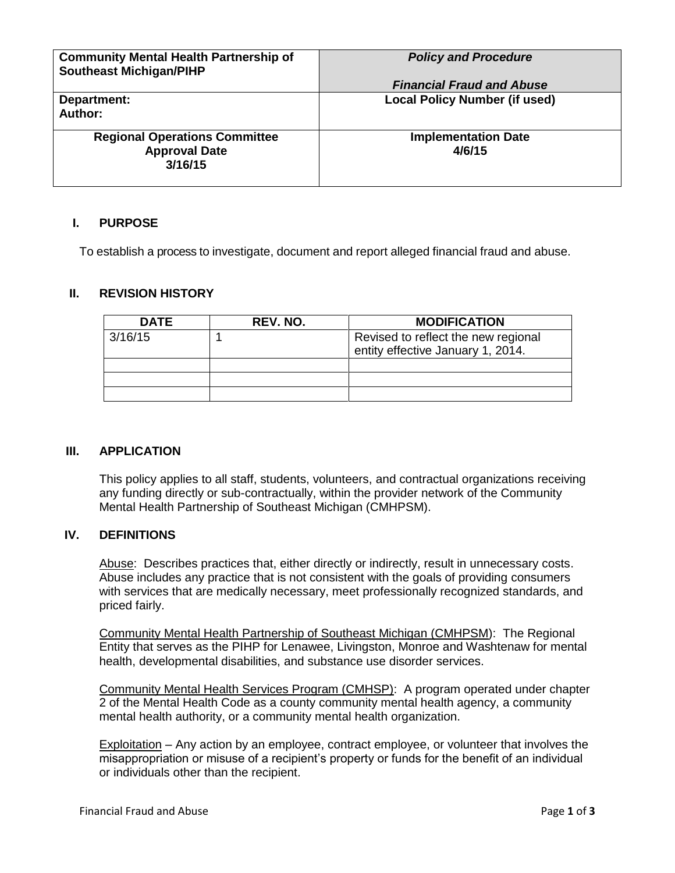| <b>Community Mental Health Partnership of</b><br><b>Southeast Michigan/PIHP</b> | <b>Policy and Procedure</b>          |
|---------------------------------------------------------------------------------|--------------------------------------|
|                                                                                 | <b>Financial Fraud and Abuse</b>     |
| Department:<br>Author:                                                          | <b>Local Policy Number (if used)</b> |
| <b>Regional Operations Committee</b><br><b>Approval Date</b><br>3/16/15         | <b>Implementation Date</b><br>4/6/15 |

## **I. PURPOSE**

To establish a process to investigate, document and report alleged financial fraud and abuse.

## **II. REVISION HISTORY**

| <b>DATE</b> | REV. NO. | <b>MODIFICATION</b>                                                      |
|-------------|----------|--------------------------------------------------------------------------|
| 3/16/15     |          | Revised to reflect the new regional<br>entity effective January 1, 2014. |
|             |          |                                                                          |
|             |          |                                                                          |
|             |          |                                                                          |

## **III. APPLICATION**

This policy applies to all staff, students, volunteers, and contractual organizations receiving any funding directly or sub-contractually, within the provider network of the Community Mental Health Partnership of Southeast Michigan (CMHPSM).

#### **IV. DEFINITIONS**

Abuse: Describes practices that, either directly or indirectly, result in unnecessary costs. Abuse includes any practice that is not consistent with the goals of providing consumers with services that are medically necessary, meet professionally recognized standards, and priced fairly.

Community Mental Health Partnership of Southeast Michigan (CMHPSM): The Regional Entity that serves as the PIHP for Lenawee, Livingston, Monroe and Washtenaw for mental health, developmental disabilities, and substance use disorder services.

Community Mental Health Services Program (CMHSP): A program operated under chapter 2 of the Mental Health Code as a county community mental health agency, a community mental health authority, or a community mental health organization.

Exploitation – Any action by an employee, contract employee, or volunteer that involves the misappropriation or misuse of a recipient's property or funds for the benefit of an individual or individuals other than the recipient.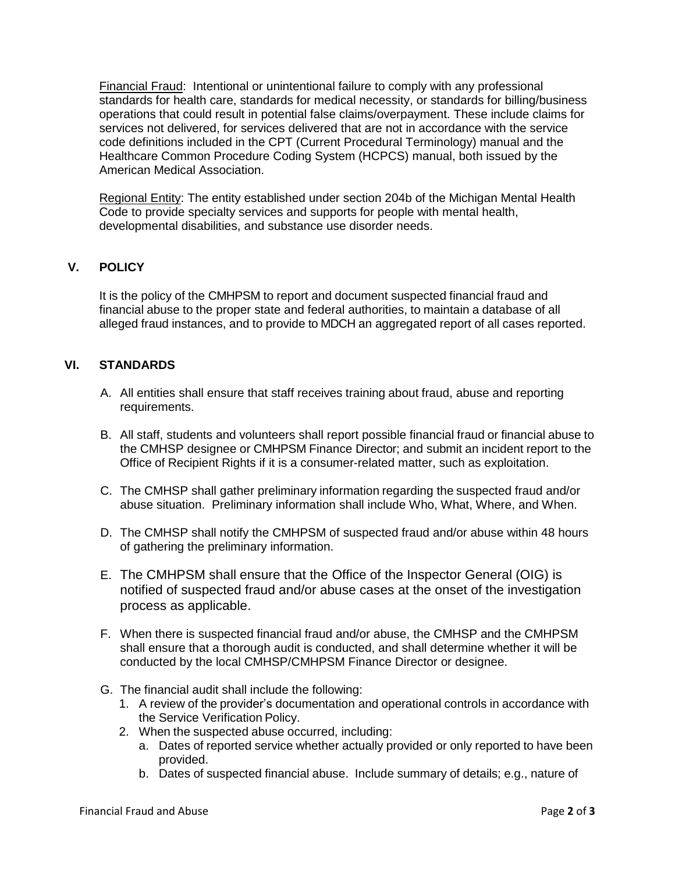Financial Fraud: Intentional or unintentional failure to comply with any professional standards for health care, standards for medical necessity, or standards for billing/business operations that could result in potential false claims/overpayment. These include claims for services not delivered, for services delivered that are not in accordance with the service code definitions included in the CPT (Current Procedural Terminology) manual and the Healthcare Common Procedure Coding System (HCPCS) manual, both issued by the American Medical Association.

Regional Entity: The entity established under section 204b of the Michigan Mental Health Code to provide specialty services and supports for people with mental health, developmental disabilities, and substance use disorder needs.

# **V. POLICY**

It is the policy of the CMHPSM to report and document suspected financial fraud and financial abuse to the proper state and federal authorities, to maintain a database of all alleged fraud instances, and to provide to MDCH an aggregated report of all cases reported.

## **VI. STANDARDS**

- A. All entities shall ensure that staff receives training about fraud, abuse and reporting requirements.
- B. All staff, students and volunteers shall report possible financial fraud or financial abuse to the CMHSP designee or CMHPSM Finance Director; and submit an incident report to the Office of Recipient Rights if it is a consumer-related matter, such as exploitation.
- C. The CMHSP shall gather preliminary information regarding the suspected fraud and/or abuse situation. Preliminary information shall include Who, What, Where, and When.
- D. The CMHSP shall notify the CMHPSM of suspected fraud and/or abuse within 48 hours of gathering the preliminary information.
- E. The CMHPSM shall ensure that the Office of the Inspector General (OIG) is notified of suspected fraud and/or abuse cases at the onset of the investigation process as applicable.
- F. When there is suspected financial fraud and/or abuse, the CMHSP and the CMHPSM shall ensure that a thorough audit is conducted, and shall determine whether it will be conducted by the local CMHSP/CMHPSM Finance Director or designee.
- G. The financial audit shall include the following:
	- 1. A review of the provider's documentation and operational controls in accordance with the Service Verification Policy.
	- 2. When the suspected abuse occurred, including:
		- a. Dates of reported service whether actually provided or only reported to have been provided.
		- b. Dates of suspected financial abuse. Include summary of details; e.g., nature of